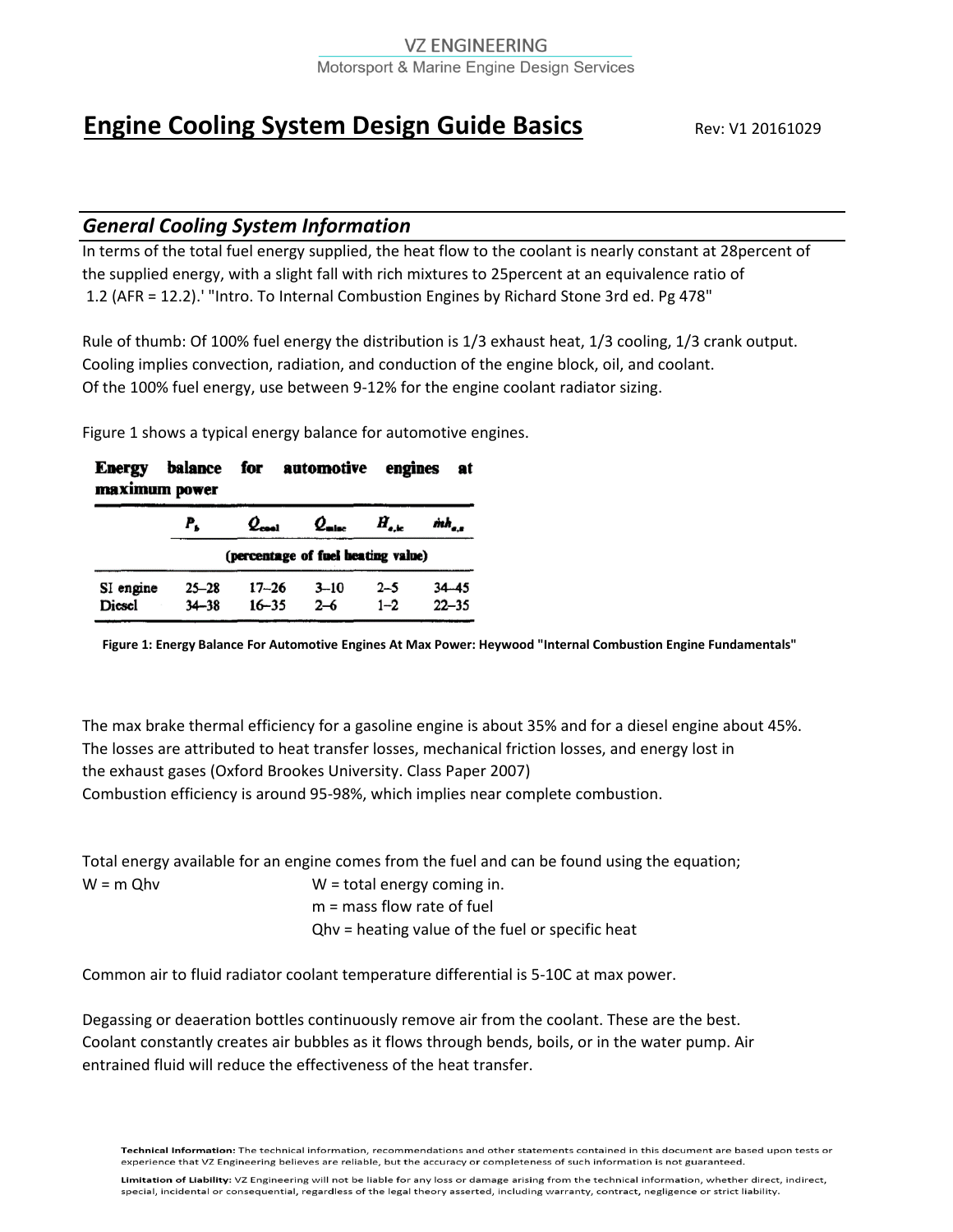#### **VZ ENGINEERING** Motorsport & Marine Engine Design Services

# **Engine Cooling System Design Guide Basics** Rev: V1 20161029

# *General Cooling System Information*

In terms of the total fuel energy supplied, the heat flow to the coolant is nearly constant at 28percent of the supplied energy, with a slight fall with rich mixtures to 25percent at an equivalence ratio of 1.2 (AFR = 12.2).' "Intro. To Internal Combustion Engines by Richard Stone 3rd ed. Pg 478"

Rule of thumb: Of 100% fuel energy the distribution is 1/3 exhaust heat, 1/3 cooling, 1/3 crank output. Cooling implies convection, radiation, and conduction of the engine block, oil, and coolant. Of the 100% fuel energy, use between 9-12% for the engine coolant radiator sizing.

Figure 1 shows a typical energy balance for automotive engines.

| balance for automotive engines<br><b>Energy</b><br>at<br>maximum power |                        |                                    |                     |                    |                        |  |
|------------------------------------------------------------------------|------------------------|------------------------------------|---------------------|--------------------|------------------------|--|
|                                                                        | P.                     | $\mathcal{Q}_{\mathsf{cool}}$      | $Q_{\text{mloc}}$   | $H_{a,k}$          | mh <sub>a.s</sub>      |  |
|                                                                        |                        | (percentage of fuel heating value) |                     |                    |                        |  |
| SI engine<br>Diesel                                                    | $25 - 28$<br>$34 - 38$ | $17 - 26$<br>$16 - 35$             | $3 - 10$<br>$2 - 6$ | $2 - 5$<br>$1 - 2$ | $34 - 45$<br>$22 - 35$ |  |

**Figure 1: Energy Balance For Automotive Engines At Max Power: Heywood "Internal Combustion Engine Fundamentals"**

The max brake thermal efficiency for a gasoline engine is about 35% and for a diesel engine about 45%. The losses are attributed to heat transfer losses, mechanical friction losses, and energy lost in the exhaust gases (Oxford Brookes University. Class Paper 2007) Combustion efficiency is around 95-98%, which implies near complete combustion.

|             | Total energy available for an engine comes from the fuel and can be found using the equation; |
|-------------|-----------------------------------------------------------------------------------------------|
| $W = m$ Ohv | $W =$ total energy coming in.                                                                 |
|             | $m =$ mass flow rate of fuel                                                                  |
|             | Qhy = heating value of the fuel or specific heat                                              |
|             |                                                                                               |

Common air to fluid radiator coolant temperature differential is 5-10C at max power.

Degassing or deaeration bottles continuously remove air from the coolant. These are the best. Coolant constantly creates air bubbles as it flows through bends, boils, or in the water pump. Air entrained fluid will reduce the effectiveness of the heat transfer.

Technical Information: The technical information, recommendations and other statements contained in this document are based upon tests or experience that VZ Engineering believes are reliable, but the accuracy or completeness of such information is not guaranteed.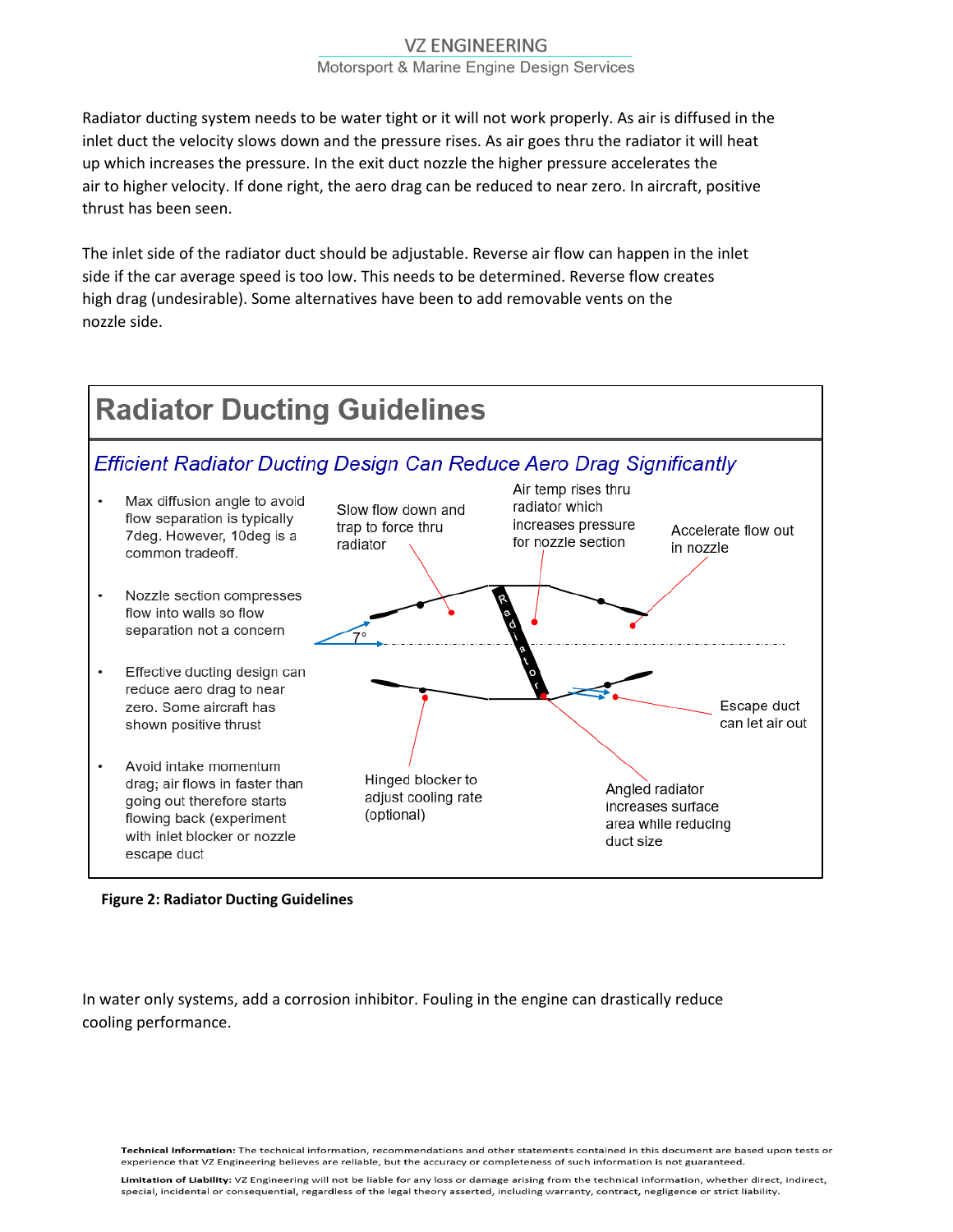# **VZ ENGINEERING**

Motorsport & Marine Engine Design Services

Radiator ducting system needs to be water tight or it will not work properly. As air is diffused in the inlet duct the velocity slows down and the pressure rises. As air goes thru the radiator it will heat up which increases the pressure. In the exit duct nozzle the higher pressure accelerates the air to higher velocity. If done right, the aero drag can be reduced to near zero. In aircraft, positive thrust has been seen.

The inlet side of the radiator duct should be adjustable. Reverse air flow can happen in the inlet side if the car average speed is too low. This needs to be determined. Reverse flow creates high drag (undesirable). Some alternatives have been to add removable vents on the nozzle side.



#### **Figure 2: Radiator Ducting Guidelines**

In water only systems, add a corrosion inhibitor. Fouling in the engine can drastically reduce cooling performance.

Technical Information: The technical information, recommendations and other statements contained in this document are based upon tests or experience that VZ Engineering believes are reliable, but the accuracy or completeness of such information is not guaranteed.